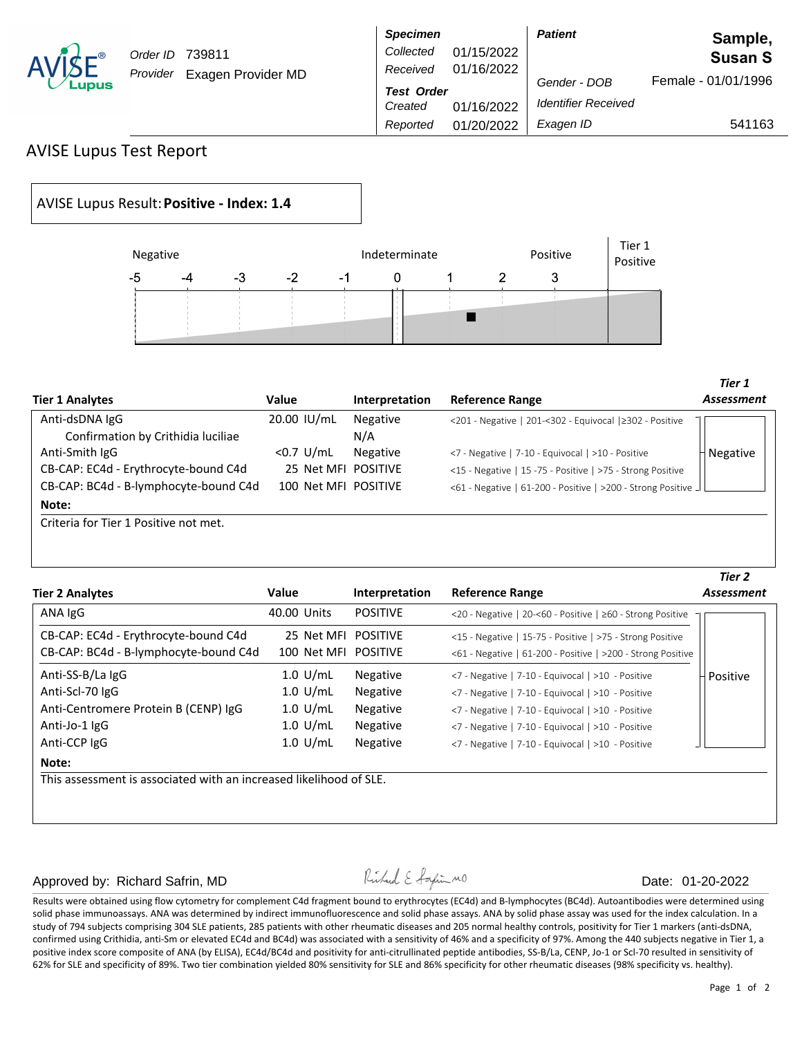| R)<br>$\checkmark$<br>s |
|-------------------------|
|-------------------------|

Order ID 739811 Provider Exagen Provider MD

|                    | <b>Specimen</b>   |            | <b>Patient</b>             | Sample,             |  |  |
|--------------------|-------------------|------------|----------------------------|---------------------|--|--|
| 739811             | Collected         | 01/15/2022 |                            | <b>Susan S</b>      |  |  |
| Exagen Provider MD | Received          | 01/16/2022 |                            |                     |  |  |
|                    | <b>Test Order</b> |            | Gender - DOB               | Female - 01/01/1996 |  |  |
|                    | Created           | 01/16/2022 | <b>Identifier Received</b> |                     |  |  |
|                    | Reported          | 01/20/2022 | Exagen ID                  | 541163              |  |  |
|                    |                   |            |                            |                     |  |  |

## AVISE Lupus Test Report

## AVISE Lupus Result: **Positive - Index: 1.4**



| <b>Tier 1 Analytes</b>                | Value                | Interpretation | <b>Reference Range</b>                                             | Assessment |
|---------------------------------------|----------------------|----------------|--------------------------------------------------------------------|------------|
| Anti-dsDNA IgG                        | 20.00 IU/mL          | Negative       | <201 - Negative   201-<302 - Equivocal   ≥302 - Positive           |            |
| Confirmation by Crithidia luciliae    |                      | N/A            |                                                                    |            |
| Anti-Smith IgG                        | $<$ 0.7 U/mL         | Negative       | <7 - Negative   7-10 - Equivocal   >10 - Positive                  | Negative   |
| CB-CAP: EC4d - Erythrocyte-bound C4d  | 25 Net MFI POSITIVE  |                | <15 - Negative   15 -75 - Positive   >75 - Strong Positive         |            |
| CB-CAP: BC4d - B-lymphocyte-bound C4d | 100 Net MFI POSITIVE |                | <61 - Negative   61-200 - Positive   >200 - Strong Positive $\Box$ |            |
| Note:                                 |                      |                |                                                                    |            |
| Criteria for Tier 1 Positive not met. |                      |                |                                                                    |            |

| <b>Tier 2 Analytes</b>                                             | <b>Value</b>       | Interpretation  | <b>Reference Range</b>                                      | Tier 2<br>Assessment |  |
|--------------------------------------------------------------------|--------------------|-----------------|-------------------------------------------------------------|----------------------|--|
| ANA IgG                                                            | 40.00 Units        | <b>POSITIVE</b> | <20 - Negative   20-<60 - Positive   ≥60 - Strong Positive  |                      |  |
| CB-CAP: EC4d - Erythrocyte-bound C4d                               | 25 Net MFI         | <b>POSITIVE</b> | <15 - Negative   15-75 - Positive   >75 - Strong Positive   |                      |  |
| CB-CAP: BC4d - B-lymphocyte-bound C4d                              | 100 Net MFI        | <b>POSITIVE</b> | <61 - Negative   61-200 - Positive   >200 - Strong Positive |                      |  |
| Anti-SS-B/La IgG                                                   | $1.0$ U/mL         | <b>Negative</b> | <7 - Negative   7-10 - Equivocal   >10 - Positive           | Positive             |  |
| Anti-Scl-70 IgG                                                    | $1.0 \text{ U/mL}$ | <b>Negative</b> | <7 - Negative   7-10 - Equivocal   >10 - Positive           |                      |  |
| Anti-Centromere Protein B (CENP) IgG                               | $1.0 \text{ U/mL}$ | Negative        | <7 - Negative   7-10 - Equivocal   >10 - Positive           |                      |  |
| Anti-Jo-1 IgG                                                      | $1.0 \text{ U/mL}$ | Negative        | <7 - Negative   7-10 - Equivocal   >10 - Positive           |                      |  |
| Anti-CCP IgG                                                       | $1.0$ U/mL         | Negative        | <7 - Negative   7-10 - Equivocal   >10 - Positive           |                      |  |
| Note:                                                              |                    |                 |                                                             |                      |  |
| This assessment is associated with an increased likelihood of SLE. |                    |                 |                                                             |                      |  |

## Approved by: Richard Safrin, MD  $\downarrow$   $\downarrow$   $\downarrow$   $\downarrow$   $\downarrow$   $\downarrow$   $\downarrow$   $\downarrow$   $\downarrow$   $\downarrow$   $\downarrow$   $\downarrow$   $\downarrow$   $\downarrow$   $\downarrow$   $\downarrow$   $\downarrow$   $\downarrow$   $\downarrow$   $\downarrow$   $\downarrow$   $\downarrow$   $\downarrow$   $\downarrow$   $\downarrow$   $\downarrow$   $\downarrow$   $\downarrow$   $\downarrow$   $\downarrow$   $\downarrow$   $\down$

Results were obtained using flow cytometry for complement C4d fragment bound to erythrocytes (EC4d) and B-lymphocytes (BC4d). Autoantibodies were determined using solid phase immunoassays. ANA was determined by indirect immunofluorescence and solid phase assays. ANA by solid phase assay was used for the index calculation. In a study of 794 subjects comprising 304 SLE patients, 285 patients with other rheumatic diseases and 205 normal healthy controls, positivity for Tier 1 markers (anti-dsDNA, confirmed using Crithidia, anti-Sm or elevated EC4d and BC4d) was associated with a sensitivity of 46% and a specificity of 97%. Among the 440 subjects negative in Tier 1, a positive index score composite of ANA (by ELISA), EC4d/BC4d and positivity for anti-citrullinated peptide antibodies, SS-B/La, CENP, Jo-1 or Scl-70 resulted in sensitivity of 62% for SLE and specificity of 89%. Two tier combination yielded 80% sensitivity for SLE and 86% specificity for other rheumatic diseases (98% specificity vs. healthy).

*Tier 1*